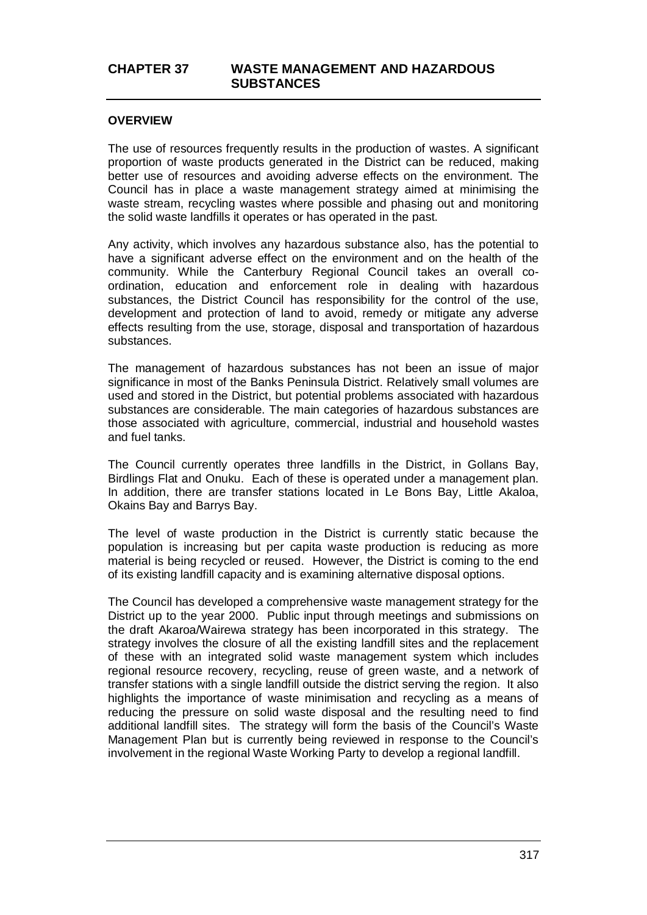### **OVERVIEW**

The use of resources frequently results in the production of wastes. A significant proportion of waste products generated in the District can be reduced, making better use of resources and avoiding adverse effects on the environment. The Council has in place a waste management strategy aimed at minimising the waste stream, recycling wastes where possible and phasing out and monitoring the solid waste landfills it operates or has operated in the past.

Any activity, which involves any hazardous substance also, has the potential to have a significant adverse effect on the environment and on the health of the community. While the Canterbury Regional Council takes an overall coordination, education and enforcement role in dealing with hazardous substances, the District Council has responsibility for the control of the use, development and protection of land to avoid, remedy or mitigate any adverse effects resulting from the use, storage, disposal and transportation of hazardous substances.

The management of hazardous substances has not been an issue of major significance in most of the Banks Peninsula District. Relatively small volumes are used and stored in the District, but potential problems associated with hazardous substances are considerable. The main categories of hazardous substances are those associated with agriculture, commercial, industrial and household wastes and fuel tanks.

The Council currently operates three landfills in the District, in Gollans Bay, Birdlings Flat and Onuku. Each of these is operated under a management plan. In addition, there are transfer stations located in Le Bons Bay, Little Akaloa, Okains Bay and Barrys Bay.

The level of waste production in the District is currently static because the population is increasing but per capita waste production is reducing as more material is being recycled or reused. However, the District is coming to the end of its existing landfill capacity and is examining alternative disposal options.

The Council has developed a comprehensive waste management strategy for the District up to the year 2000. Public input through meetings and submissions on the draft Akaroa/Wairewa strategy has been incorporated in this strategy. The strategy involves the closure of all the existing landfill sites and the replacement of these with an integrated solid waste management system which includes regional resource recovery, recycling, reuse of green waste, and a network of transfer stations with a single landfill outside the district serving the region. It also highlights the importance of waste minimisation and recycling as a means of reducing the pressure on solid waste disposal and the resulting need to find additional landfill sites. The strategy will form the basis of the Council's Waste Management Plan but is currently being reviewed in response to the Council's involvement in the regional Waste Working Party to develop a regional landfill.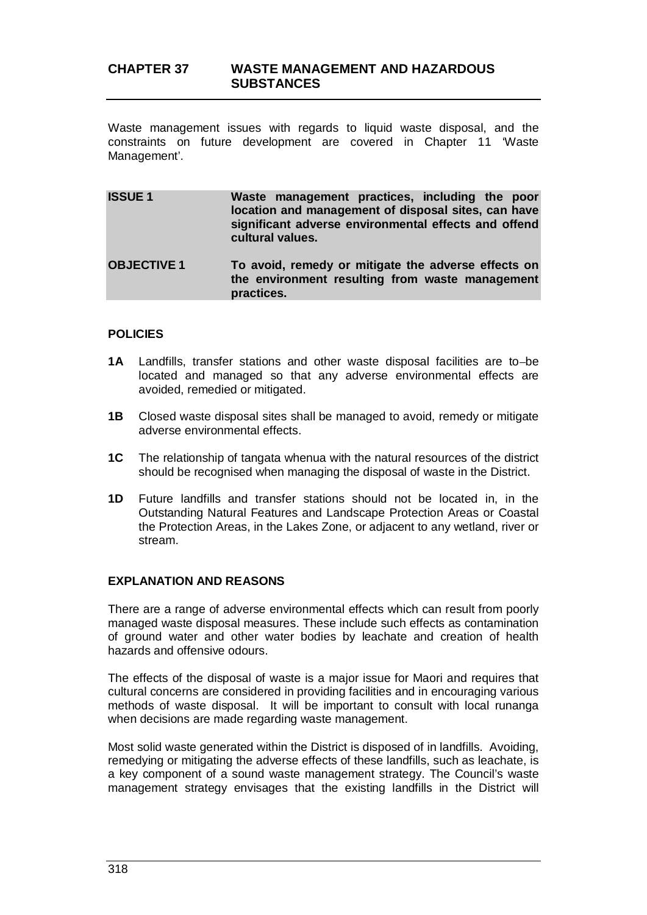Waste management issues with regards to liquid waste disposal, and the constraints on future development are covered in Chapter 11 'Waste Management'.

**ISSUE 1 Waste management practices, including the poor location and management of disposal sites, can have significant adverse environmental effects and offend cultural values.**

**OBJECTIVE 1 To avoid, remedy or mitigate the adverse effects on the environment resulting from waste management practices.**

## **POLICIES**

- 1A Landfills, transfer stations and other waste disposal facilities are to-be located and managed so that any adverse environmental effects are avoided, remedied or mitigated.
- **1B** Closed waste disposal sites shall be managed to avoid, remedy or mitigate adverse environmental effects.
- **1C** The relationship of tangata whenua with the natural resources of the district should be recognised when managing the disposal of waste in the District.
- **1D** Future landfills and transfer stations should not be located in, in the Outstanding Natural Features and Landscape Protection Areas or Coastal the Protection Areas, in the Lakes Zone, or adjacent to any wetland, river or stream.

### **EXPLANATION AND REASONS**

There are a range of adverse environmental effects which can result from poorly managed waste disposal measures. These include such effects as contamination of ground water and other water bodies by leachate and creation of health hazards and offensive odours.

The effects of the disposal of waste is a major issue for Maori and requires that cultural concerns are considered in providing facilities and in encouraging various methods of waste disposal. It will be important to consult with local runanga when decisions are made regarding waste management.

Most solid waste generated within the District is disposed of in landfills. Avoiding, remedying or mitigating the adverse effects of these landfills, such as leachate, is a key component of a sound waste management strategy. The Council's waste management strategy envisages that the existing landfills in the District will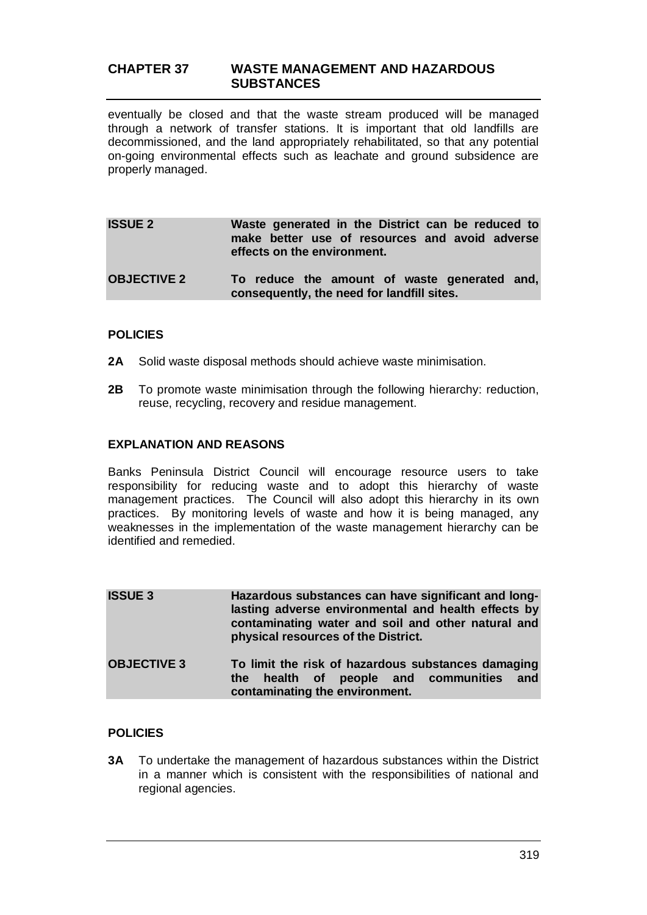eventually be closed and that the waste stream produced will be managed through a network of transfer stations. It is important that old landfills are decommissioned, and the land appropriately rehabilitated, so that any potential on-going environmental effects such as leachate and ground subsidence are properly managed.

| <b>ISSUE 2</b> |                             |  | Waste generated in the District can be reduced to |  |  |
|----------------|-----------------------------|--|---------------------------------------------------|--|--|
|                | effects on the environment. |  | make better use of resources and avoid adverse    |  |  |
|                |                             |  |                                                   |  |  |

**OBJECTIVE 2 To reduce the amount of waste generated and, consequently, the need for landfill sites.**

## **POLICIES**

- **2A** Solid waste disposal methods should achieve waste minimisation.
- **2B** To promote waste minimisation through the following hierarchy: reduction, reuse, recycling, recovery and residue management.

### **EXPLANATION AND REASONS**

Banks Peninsula District Council will encourage resource users to take responsibility for reducing waste and to adopt this hierarchy of waste management practices. The Council will also adopt this hierarchy in its own practices. By monitoring levels of waste and how it is being managed, any weaknesses in the implementation of the waste management hierarchy can be identified and remedied.

| <b>ISSUE 3</b>     | Hazardous substances can have significant and long-<br>lasting adverse environmental and health effects by<br>contaminating water and soil and other natural and<br>physical resources of the District. |  |  |  |
|--------------------|---------------------------------------------------------------------------------------------------------------------------------------------------------------------------------------------------------|--|--|--|
| <b>OBJECTIVE 3</b> | To limit the risk of hazardous substances damaging<br>the health of people and communities and<br>contaminating the environment.                                                                        |  |  |  |

### **POLICIES**

**3A** To undertake the management of hazardous substances within the District in a manner which is consistent with the responsibilities of national and regional agencies.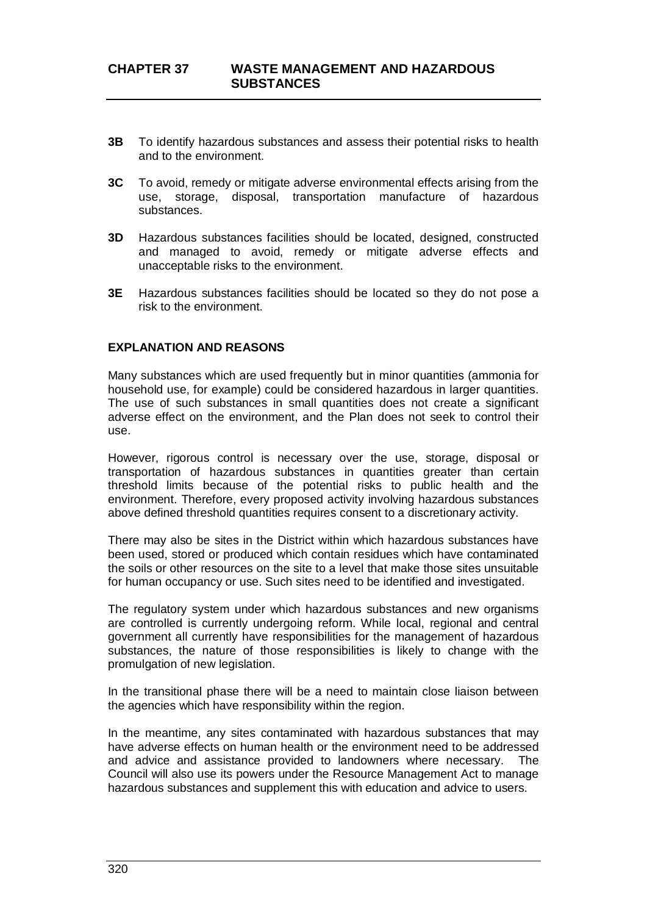- **3B** To identify hazardous substances and assess their potential risks to health and to the environment.
- **3C** To avoid, remedy or mitigate adverse environmental effects arising from the use, storage, disposal, transportation manufacture of hazardous substances.
- **3D** Hazardous substances facilities should be located, designed, constructed and managed to avoid, remedy or mitigate adverse effects and unacceptable risks to the environment.
- **3E** Hazardous substances facilities should be located so they do not pose a risk to the environment.

### **EXPLANATION AND REASONS**

Many substances which are used frequently but in minor quantities (ammonia for household use, for example) could be considered hazardous in larger quantities. The use of such substances in small quantities does not create a significant adverse effect on the environment, and the Plan does not seek to control their use.

However, rigorous control is necessary over the use, storage, disposal or transportation of hazardous substances in quantities greater than certain threshold limits because of the potential risks to public health and the environment. Therefore, every proposed activity involving hazardous substances above defined threshold quantities requires consent to a discretionary activity.

There may also be sites in the District within which hazardous substances have been used, stored or produced which contain residues which have contaminated the soils or other resources on the site to a level that make those sites unsuitable for human occupancy or use. Such sites need to be identified and investigated.

The regulatory system under which hazardous substances and new organisms are controlled is currently undergoing reform. While local, regional and central government all currently have responsibilities for the management of hazardous substances, the nature of those responsibilities is likely to change with the promulgation of new legislation.

In the transitional phase there will be a need to maintain close liaison between the agencies which have responsibility within the region.

In the meantime, any sites contaminated with hazardous substances that may have adverse effects on human health or the environment need to be addressed and advice and assistance provided to landowners where necessary. The Council will also use its powers under the Resource Management Act to manage hazardous substances and supplement this with education and advice to users.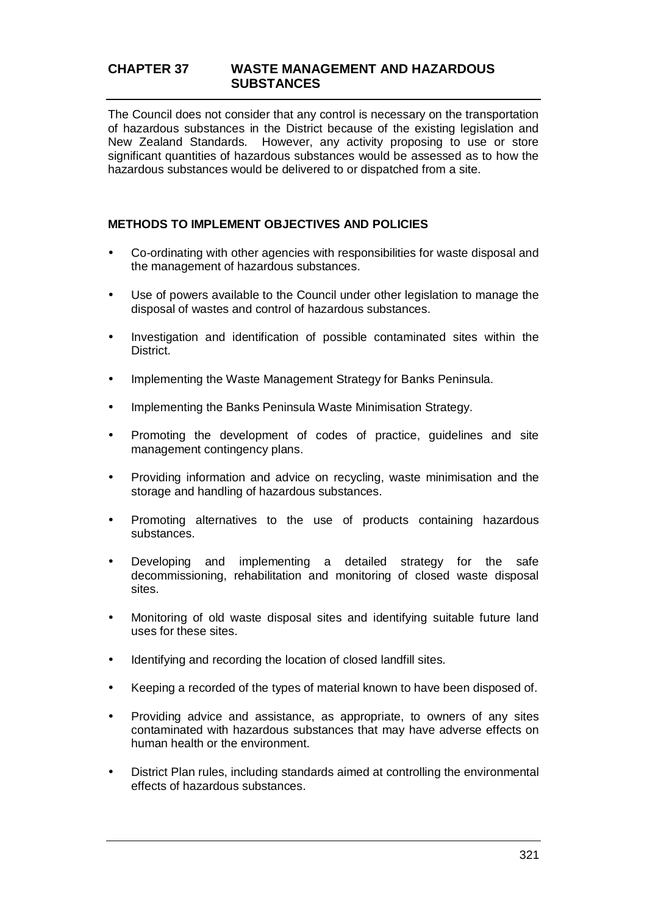The Council does not consider that any control is necessary on the transportation of hazardous substances in the District because of the existing legislation and New Zealand Standards. However, any activity proposing to use or store significant quantities of hazardous substances would be assessed as to how the hazardous substances would be delivered to or dispatched from a site.

## **METHODS TO IMPLEMENT OBJECTIVES AND POLICIES**

- Co-ordinating with other agencies with responsibilities for waste disposal and the management of hazardous substances.
- Use of powers available to the Council under other legislation to manage the  $\overline{a}$ disposal of wastes and control of hazardous substances.
- Investigation and identification of possible contaminated sites within the District.
- Implementing the Waste Management Strategy for Banks Peninsula.
- Implementing the Banks Peninsula Waste Minimisation Strategy.
- Promoting the development of codes of practice, guidelines and site management contingency plans.
- Providing information and advice on recycling, waste minimisation and the storage and handling of hazardous substances.
- Promoting alternatives to the use of products containing hazardous L. substances.
- Developing and implementing a detailed strategy for the safe decommissioning, rehabilitation and monitoring of closed waste disposal sites.
- Monitoring of old waste disposal sites and identifying suitable future land  $\mathbf{r}$ uses for these sites.
- Identifying and recording the location of closed landfill sites.
- Keeping a recorded of the types of material known to have been disposed of.
- Providing advice and assistance, as appropriate, to owners of any sites contaminated with hazardous substances that may have adverse effects on human health or the environment.
- District Plan rules, including standards aimed at controlling the environmental effects of hazardous substances.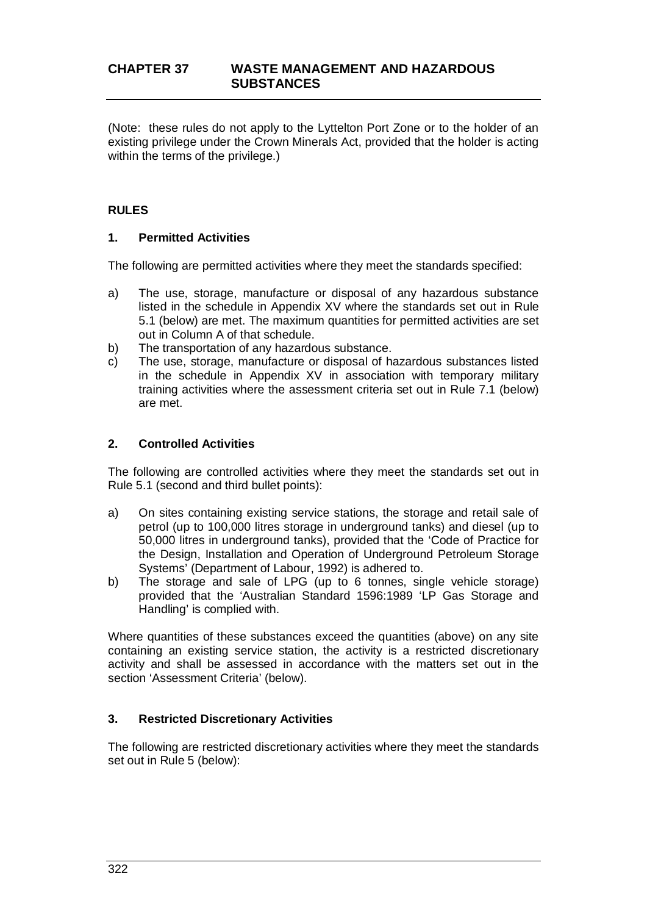(Note: these rules do not apply to the Lyttelton Port Zone or to the holder of an existing privilege under the Crown Minerals Act, provided that the holder is acting within the terms of the privilege.)

## **RULES**

### **1. Permitted Activities**

The following are permitted activities where they meet the standards specified:

- a) The use, storage, manufacture or disposal of any hazardous substance listed in the schedule in Appendix XV where the standards set out in Rule 5.1 (below) are met. The maximum quantities for permitted activities are set out in Column A of that schedule.
- b) The transportation of any hazardous substance.
- c) The use, storage, manufacture or disposal of hazardous substances listed in the schedule in Appendix XV in association with temporary military training activities where the assessment criteria set out in Rule 7.1 (below) are met.

#### **2. Controlled Activities**

The following are controlled activities where they meet the standards set out in Rule 5.1 (second and third bullet points):

- a) On sites containing existing service stations, the storage and retail sale of petrol (up to 100,000 litres storage in underground tanks) and diesel (up to 50,000 litres in underground tanks), provided that the 'Code of Practice for the Design, Installation and Operation of Underground Petroleum Storage Systems' (Department of Labour, 1992) is adhered to.
- b) The storage and sale of LPG (up to 6 tonnes, single vehicle storage) provided that the 'Australian Standard 1596:1989 'LP Gas Storage and Handling' is complied with.

Where quantities of these substances exceed the quantities (above) on any site containing an existing service station, the activity is a restricted discretionary activity and shall be assessed in accordance with the matters set out in the section 'Assessment Criteria' (below).

### **3. Restricted Discretionary Activities**

The following are restricted discretionary activities where they meet the standards set out in Rule 5 (below):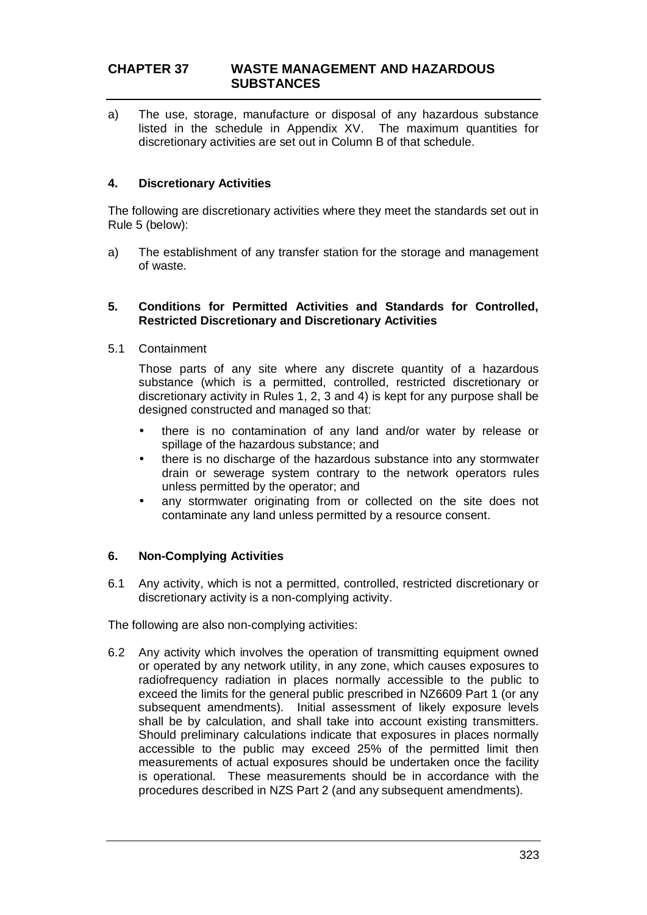a) The use, storage, manufacture or disposal of any hazardous substance listed in the schedule in Appendix XV. The maximum quantities for discretionary activities are set out in Column B of that schedule.

# **4. Discretionary Activities**

The following are discretionary activities where they meet the standards set out in Rule 5 (below):

a) The establishment of any transfer station for the storage and management of waste.

#### **5. Conditions for Permitted Activities and Standards for Controlled, Restricted Discretionary and Discretionary Activities**

5.1 Containment

Those parts of any site where any discrete quantity of a hazardous substance (which is a permitted, controlled, restricted discretionary or discretionary activity in Rules 1, 2, 3 and 4) is kept for any purpose shall be designed constructed and managed so that:

- there is no contamination of any land and/or water by release or spillage of the hazardous substance; and
- there is no discharge of the hazardous substance into any stormwater drain or sewerage system contrary to the network operators rules unless permitted by the operator; and
- any stormwater originating from or collected on the site does not contaminate any land unless permitted by a resource consent.

### **6. Non-Complying Activities**

6.1 Any activity, which is not a permitted, controlled, restricted discretionary or discretionary activity is a non-complying activity.

The following are also non-complying activities:

6.2 Any activity which involves the operation of transmitting equipment owned or operated by any network utility, in any zone, which causes exposures to radiofrequency radiation in places normally accessible to the public to exceed the limits for the general public prescribed in NZ6609 Part 1 (or any subsequent amendments). Initial assessment of likely exposure levels shall be by calculation, and shall take into account existing transmitters. Should preliminary calculations indicate that exposures in places normally accessible to the public may exceed 25% of the permitted limit then measurements of actual exposures should be undertaken once the facility is operational. These measurements should be in accordance with the procedures described in NZS Part 2 (and any subsequent amendments).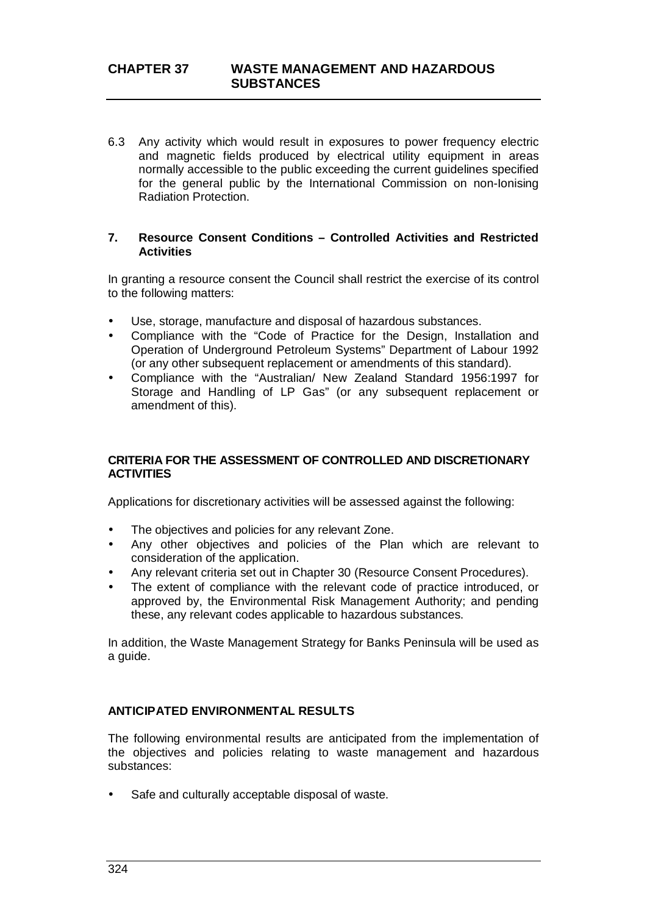6.3 Any activity which would result in exposures to power frequency electric and magnetic fields produced by electrical utility equipment in areas normally accessible to the public exceeding the current guidelines specified for the general public by the International Commission on non-Ionising Radiation Protection.

#### **7. Resource Consent Conditions – Controlled Activities and Restricted Activities**

In granting a resource consent the Council shall restrict the exercise of its control to the following matters:

- Use, storage, manufacture and disposal of hazardous substances.
- Compliance with the "Code of Practice for the Design, Installation and Operation of Underground Petroleum Systems" Department of Labour 1992 (or any other subsequent replacement or amendments of this standard).
- Compliance with the "Australian/ New Zealand Standard 1956:1997 for Storage and Handling of LP Gas" (or any subsequent replacement or amendment of this).

## **CRITERIA FOR THE ASSESSMENT OF CONTROLLED AND DISCRETIONARY ACTIVITIES**

Applications for discretionary activities will be assessed against the following:

- The objectives and policies for any relevant Zone.
- Any other objectives and policies of the Plan which are relevant to consideration of the application.
- Any relevant criteria set out in Chapter 30 (Resource Consent Procedures).
- The extent of compliance with the relevant code of practice introduced, or approved by, the Environmental Risk Management Authority; and pending these, any relevant codes applicable to hazardous substances.

In addition, the Waste Management Strategy for Banks Peninsula will be used as a guide.

### **ANTICIPATED ENVIRONMENTAL RESULTS**

The following environmental results are anticipated from the implementation of the objectives and policies relating to waste management and hazardous substances:

Safe and culturally acceptable disposal of waste.